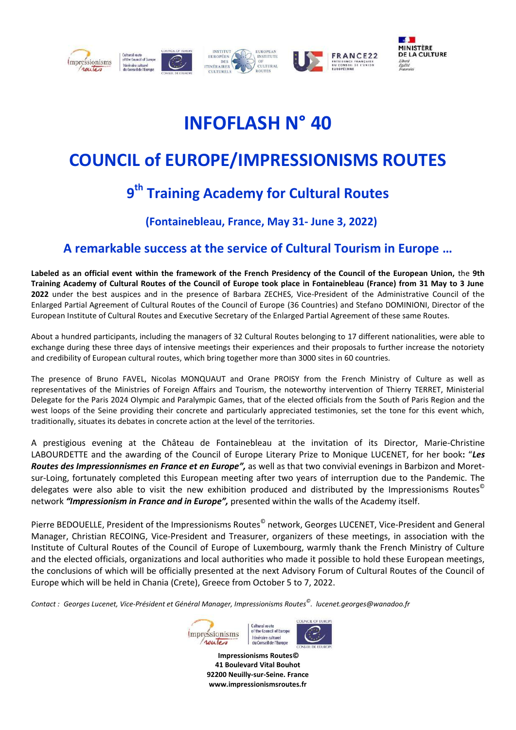

# **INFOFLASH N° 40**

## **COUNCIL of EUROPE/IMPRESSIONISMS ROUTES**

### **9 th Training Academy for Cultural Routes**

#### **(Fontainebleau, France, May 31- June 3, 2022)**

### **A remarkable success at the service of Cultural Tourism in Europe …**

**Labeled as an official event within the framework of the French Presidency of the Council of the European Union,** the **9th Training Academy of Cultural Routes of the Council of Europe took place in Fontainebleau (France) from 31 May to 3 June 2022** under the best auspices and in the presence of Barbara ZECHES, Vice-President of the Administrative Council of the Enlarged Partial Agreement of Cultural Routes of the Council of Europe (36 Countries) and Stefano DOMINIONI, Director of the European Institute of Cultural Routes and Executive Secretary of the Enlarged Partial Agreement of these same Routes.

About a hundred participants, including the managers of 32 Cultural Routes belonging to 17 different nationalities, were able to exchange during these three days of intensive meetings their experiences and their proposals to further increase the notoriety and credibility of European cultural routes, which bring together more than 3000 sites in 60 countries.

The presence of Bruno FAVEL, Nicolas MONQUAUT and Orane PROISY from the French Ministry of Culture as well as representatives of the Ministries of Foreign Affairs and Tourism, the noteworthy intervention of Thierry TERRET, Ministerial Delegate for the Paris 2024 Olympic and Paralympic Games, that of the elected officials from the South of Paris Region and the west loops of the Seine providing their concrete and particularly appreciated testimonies, set the tone for this event which, traditionally, situates its debates in concrete action at the level of the territories.

A prestigious evening at the Château de Fontainebleau at the invitation of its Director, Marie-Christine LABOURDETTE and the awarding of the Council of Europe Literary Prize to Monique LUCENET, for her book**:** "*Les Routes des Impressionnismes en France et en Europe",* as well as that two convivial evenings in Barbizon and Moretsur-Loing, fortunately completed this European meeting after two years of interruption due to the Pandemic. The delegates were also able to visit the new exhibition produced and distributed by the Impressionisms Routes© network *"Impressionism in France and in Europe",* presented within the walls of the Academy itself.

Pierre BEDOUELLE, President of the Impressionisms Routes<sup>©</sup> network, Georges LUCENET, Vice-President and General Manager, Christian RECOING, Vice-President and Treasurer, organizers of these meetings, in association with the Institute of Cultural Routes of the Council of Europe of Luxembourg, warmly thank the French Ministry of Culture and the elected officials, organizations and local authorities who made it possible to hold these European meetings, the conclusions of which will be officially presented at the next Advisory Forum of Cultural Routes of the Council of Europe which will be held in Chania (Crete), Greece from October 5 to 7, 2022.

*Contact : Georges Lucenet, Vice-Président et Général Manager, Impressionisms Routes© . lucenet.georges@wanadoo.fr*



**Impressionisms Routes© 41 Boulevard Vital Bouhot 92200 Neuilly-sur-Seine. France www.impressionismsroutes.fr**